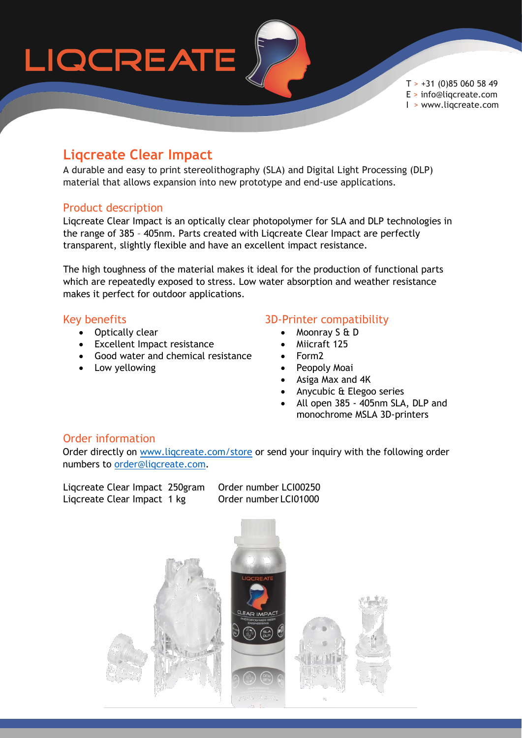# LIQCREATE

 $T > +31$  (0)85 060 58 49 E > info@liqcreate.com I > www.liqcreate.com

### **Liqcreate Clear Impact**

A durable and easy to print stereolithography (SLA) and Digital Light Processing (DLP) material that allows expansion into new prototype and end-use applications.

#### Product description

Liqcreate Clear Impact is an optically clear photopolymer for SLA and DLP technologies in the range of 385 – 405nm. Parts created with Liqcreate Clear Impact are perfectly transparent, slightly flexible and have an excellent impact resistance.

The high toughness of the material makes it ideal for the production of functional parts which are repeatedly exposed to stress. Low water absorption and weather resistance makes it perfect for outdoor applications.

#### Key benefits

- Optically clear
- Excellent Impact resistance
- Good water and chemical resistance
- Low yellowing

#### 3D-Printer compatibility

- Moonray S & D
- Miicraft 125
- Form2
- Peopoly Moai
- Asiga Max and 4K
- Anycubic & Elegoo series
- All open 385 405nm SLA, DLP and monochrome MSLA 3D-printers

#### Order information

Order directly on [www.liqcreate.com/store](http://www.liqcreate.com/store) or send your inquiry with the following order numbers to [order@liqcreate.com.](mailto:order@liqcreate.com)

Liqcreate Clear Impact 250gram Order number LCI00250 Liqcreate Clear Impact 1 kg Order number LCI01000